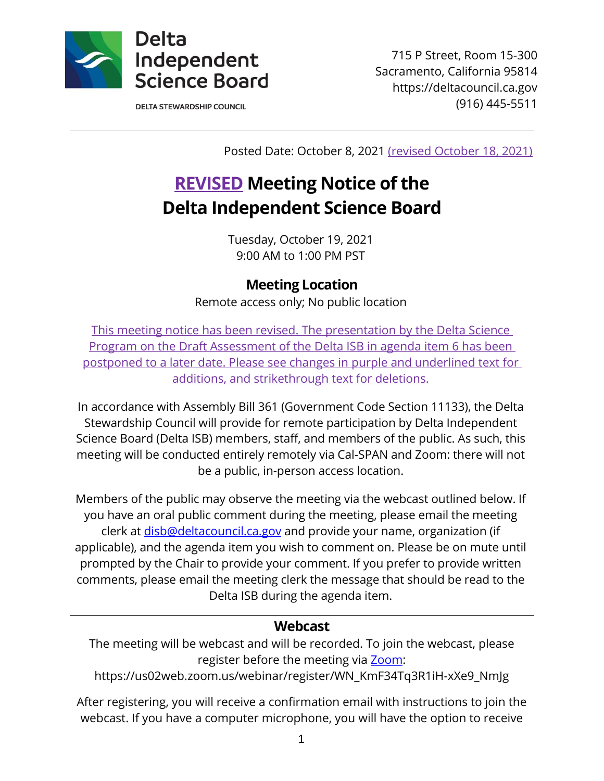

715 P Street, Room 15-300 Sacramento, California 95814 https://deltacouncil.ca.gov (916) 445-5511

**DELTA STEWARDSHIP COUNCIL** 

Posted Date: October 8, 2021 (revised October 18, 2021)

# **REVISED Meeting Notice of the Delta Independent Science Board**

Tuesday, October 19, 2021 9:00 AM to 1:00 PM PST

**Meeting Location**

Remote access only; No public location

This meeting notice has been revised. The presentation by the Delta Science Program on the Draft Assessment of the Delta ISB in agenda item 6 has been postponed to a later date. Please see changes in purple and underlined text for additions, and strikethrough text for deletions.

In accordance with Assembly Bill 361 (Government Code Section 11133), the Delta Stewardship Council will provide for remote participation by Delta Independent Science Board (Delta ISB) members, staff, and members of the public. As such, this meeting will be conducted entirely remotely via Cal-SPAN and Zoom: there will not be a public, in-person access location.

Members of the public may observe the meeting via the webcast outlined below. If you have an oral public comment during the meeting, please email the meeting clerk at [disb@deltacouncil.ca.gov](mailto:disb@deltacouncil.ca.gov) and provide your name, organization (if applicable), and the agenda item you wish to comment on. Please be on mute until prompted by the Chair to provide your comment. If you prefer to provide written comments, please email the meeting clerk the message that should be read to the Delta ISB during the agenda item.

#### **Webcast**

The meeting will be webcast and will be recorded. To join the webcast, please register before the meeting via **Zoom**:

https://us02web.zoom.us/webinar/register/WN\_KmF34Tq3R1iH-xXe9\_NmJg

After registering, you will receive a confirmation email with instructions to join the webcast. If you have a computer microphone, you will have the option to receive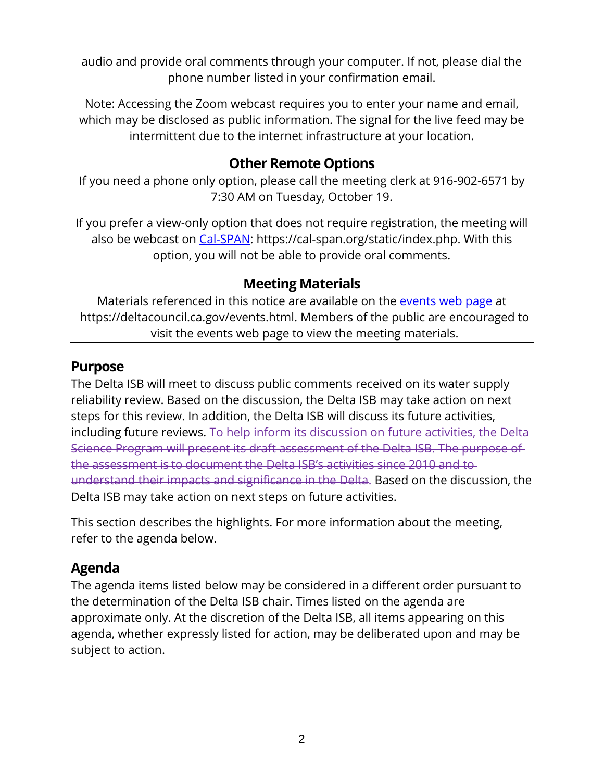audio and provide oral comments through your computer. If not, please dial the phone number listed in your confirmation email.

Note: Accessing the Zoom webcast requires you to enter your name and email, which may be disclosed as public information. The signal for the live feed may be intermittent due to the internet infrastructure at your location.

#### **Other Remote Options**

If you need a phone only option, please call the meeting clerk at 916-902-6571 by 7:30 AM on Tuesday, October 19.

If you prefer a view-only option that does not require registration, the meeting will also be webcast on [Cal-SPAN:](https://cal-span.org/static/index.php) https://cal-span.org/static/index.php. With this option, you will not be able to provide oral comments.

## **Meeting Materials**

Materials referenced in this notice are available on the [events web page](https://deltacouncil.ca.gov/events.html) at https://deltacouncil.ca.gov/events.html. Members of the public are encouraged to visit the events web page to view the meeting materials.

#### **Purpose**

The Delta ISB will meet to discuss public comments received on its water supply reliability review. Based on the discussion, the Delta ISB may take action on next steps for this review. In addition, the Delta ISB will discuss its future activities, including future reviews. To help inform its discussion on future activities, the Delta Science Program will present its draft assessment of the Delta ISB. The purpose of the assessment is to document the Delta ISB's activities since 2010 and to understand their impacts and significance in the Delta. Based on the discussion, the Delta ISB may take action on next steps on future activities.

This section describes the highlights. For more information about the meeting, refer to the agenda below.

### **Agenda**

The agenda items listed below may be considered in a different order pursuant to the determination of the Delta ISB chair. Times listed on the agenda are approximate only. At the discretion of the Delta ISB, all items appearing on this agenda, whether expressly listed for action, may be deliberated upon and may be subject to action.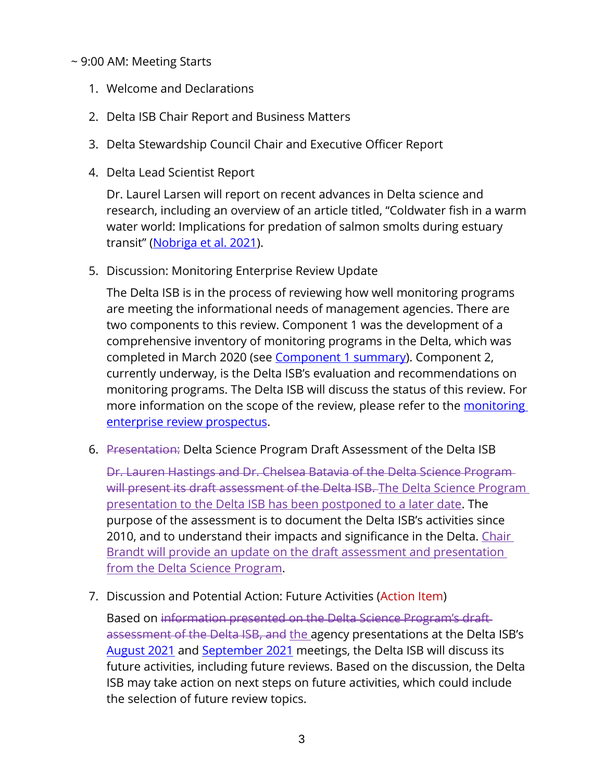#### ~ 9:00 AM: Meeting Starts

- 1. Welcome and Declarations
- 2. Delta ISB Chair Report and Business Matters
- 3. Delta Stewardship Council Chair and Executive Officer Report
- 4. Delta Lead Scientist Report

Dr. Laurel Larsen will report on recent advances in Delta science and research, including an overview of an article titled, "Coldwater fish in a warm water world: Implications for predation of salmon smolts during estuary transit" [\(Nobriga et al. 2021\)](https://onlinelibrary.wiley.com/doi/10.1002/ece3.7840).

5. Discussion: Monitoring Enterprise Review Update

The Delta ISB is in the process of reviewing how well monitoring programs are meeting the informational needs of management agencies. There are two components to this review. Component 1 was the development of a comprehensive inventory of monitoring programs in the Delta, which was completed in March 2020 (see [Component 1 summary\)](http://www.deltacouncil.ca.gov/pdf/isb/products/2020-03-31-isb-monitoring-enterprise-review-brochure.pdf). Component 2, currently underway, is the Delta ISB's evaluation and recommendations on monitoring programs. The Delta ISB will discuss the status of this review. For more information on the scope of the review, please refer to the monitoring [enterprise review prospectus.](http://deltacouncil.ca.gov/pdf/isb/products/2017-04-06-isb-mer-prospectus.pdf)

6. Presentation: Delta Science Program Draft Assessment of the Delta ISB

Dr. Lauren Hastings and Dr. Chelsea Batavia of the Delta Science Program will present its draft assessment of the Delta ISB. The Delta Science Program presentation to the Delta ISB has been postponed to a later date. The purpose of the assessment is to document the Delta ISB's activities since 2010, and to understand their impacts and significance in the Delta. Chair Brandt will provide an update on the draft assessment and presentation from the Delta Science Program.

7. Discussion and Potential Action: Future Activities (Action Item)

Based on information presented on the Delta Science Program's draft assessment of the Delta ISB, and the agency presentations at the Delta ISB's [August 2021](https://cal-span.org/unipage/?site=cal-span&owner=DISB&date=2021-08-20) and [September 2021](https://cal-span.org/unipage/?site=cal-span&owner=DISB&date=2021-09-16) meetings, the Delta ISB will discuss its future activities, including future reviews. Based on the discussion, the Delta ISB may take action on next steps on future activities, which could include the selection of future review topics.